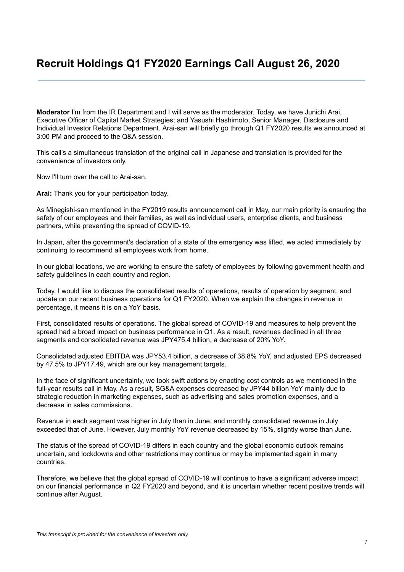# **Recruit Holdings Q1 FY2020 Earnings Call August 26, 2020**

**Moderator** I'm from the IR Department and I will serve as the moderator. Today, we have Junichi Arai, Executive Officer of Capital Market Strategies; and Yasushi Hashimoto, Senior Manager, Disclosure and Individual Investor Relations Department. Arai-san will briefly go through Q1 FY2020 results we announced at 3:00 PM and proceed to the Q&A session.

This call's a simultaneous translation of the original call in Japanese and translation is provided for the convenience of investors only.

Now I'll turn over the call to Arai-san.

**Arai:** Thank you for your participation today.

As Minegishi-san mentioned in the FY2019 results announcement call in May, our main priority is ensuring the safety of our employees and their families, as well as individual users, enterprise clients, and business partners, while preventing the spread of COVID-19.

In Japan, after the government's declaration of a state of the emergency was lifted, we acted immediately by continuing to recommend all employees work from home.

In our global locations, we are working to ensure the safety of employees by following government health and safety guidelines in each country and region.

Today, I would like to discuss the consolidated results of operations, results of operation by segment, and update on our recent business operations for Q1 FY2020. When we explain the changes in revenue in percentage, it means it is on a YoY basis.

First, consolidated results of operations. The global spread of COVID-19 and measures to help prevent the spread had a broad impact on business performance in Q1. As a result, revenues declined in all three segments and consolidated revenue was JPY475.4 billion, a decrease of 20% YoY.

Consolidated adjusted EBITDA was JPY53.4 billion, a decrease of 38.8% YoY, and adjusted EPS decreased by 47.5% to JPY17.49, which are our key management targets.

In the face of significant uncertainty, we took swift actions by enacting cost controls as we mentioned in the full-year results call in May. As a result, SG&A expenses decreased by JPY44 billion YoY mainly due to strategic reduction in marketing expenses, such as advertising and sales promotion expenses, and a decrease in sales commissions.

Revenue in each segment was higher in July than in June, and monthly consolidated revenue in July exceeded that of June. However, July monthly YoY revenue decreased by 15%, slightly worse than June.

The status of the spread of COVID-19 differs in each country and the global economic outlook remains uncertain, and lockdowns and other restrictions may continue or may be implemented again in many countries.

Therefore, we believe that the global spread of COVID-19 will continue to have a significant adverse impact on our financial performance in Q2 FY2020 and beyond, and it is uncertain whether recent positive trends will continue after August.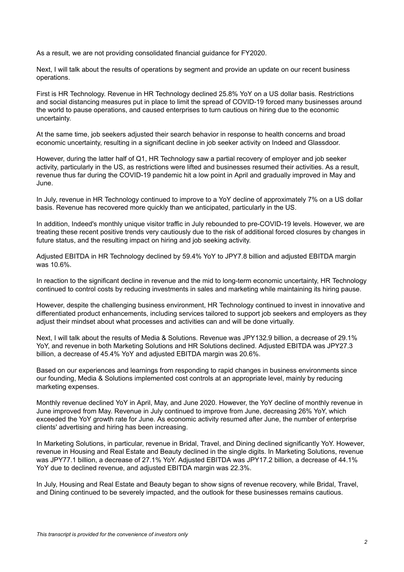As a result, we are not providing consolidated financial guidance for FY2020.

Next, I will talk about the results of operations by segment and provide an update on our recent business operations.

First is HR Technology. Revenue in HR Technology declined 25.8% YoY on a US dollar basis. Restrictions and social distancing measures put in place to limit the spread of COVID-19 forced many businesses around the world to pause operations, and caused enterprises to turn cautious on hiring due to the economic uncertainty.

At the same time, job seekers adjusted their search behavior in response to health concerns and broad economic uncertainty, resulting in a significant decline in job seeker activity on Indeed and Glassdoor.

However, during the latter half of Q1, HR Technology saw a partial recovery of employer and job seeker activity, particularly in the US, as restrictions were lifted and businesses resumed their activities. As a result, revenue thus far during the COVID-19 pandemic hit a low point in April and gradually improved in May and June.

In July, revenue in HR Technology continued to improve to a YoY decline of approximately 7% on a US dollar basis. Revenue has recovered more quickly than we anticipated, particularly in the US.

In addition, Indeed's monthly unique visitor traffic in July rebounded to pre-COVID-19 levels. However, we are treating these recent positive trends very cautiously due to the risk of additional forced closures by changes in future status, and the resulting impact on hiring and job seeking activity.

Adjusted EBITDA in HR Technology declined by 59.4% YoY to JPY7.8 billion and adjusted EBITDA margin was 10.6%.

In reaction to the significant decline in revenue and the mid to long-term economic uncertainty, HR Technology continued to control costs by reducing investments in sales and marketing while maintaining its hiring pause.

However, despite the challenging business environment, HR Technology continued to invest in innovative and differentiated product enhancements, including services tailored to support job seekers and employers as they adjust their mindset about what processes and activities can and will be done virtually.

Next, I will talk about the results of Media & Solutions. Revenue was JPY132.9 billion, a decrease of 29.1% YoY, and revenue in both Marketing Solutions and HR Solutions declined. Adjusted EBITDA was JPY27.3 billion, a decrease of 45.4% YoY and adjusted EBITDA margin was 20.6%.

Based on our experiences and learnings from responding to rapid changes in business environments since our founding, Media & Solutions implemented cost controls at an appropriate level, mainly by reducing marketing expenses.

Monthly revenue declined YoY in April, May, and June 2020. However, the YoY decline of monthly revenue in June improved from May. Revenue in July continued to improve from June, decreasing 26% YoY, which exceeded the YoY growth rate for June. As economic activity resumed after June, the number of enterprise clients' advertising and hiring has been increasing.

In Marketing Solutions, in particular, revenue in Bridal, Travel, and Dining declined significantly YoY. However, revenue in Housing and Real Estate and Beauty declined in the single digits. In Marketing Solutions, revenue was JPY77.1 billion, a decrease of 27.1% YoY. Adjusted EBITDA was JPY17.2 billion, a decrease of 44.1% YoY due to declined revenue, and adjusted EBITDA margin was 22.3%.

In July, Housing and Real Estate and Beauty began to show signs of revenue recovery, while Bridal, Travel, and Dining continued to be severely impacted, and the outlook for these businesses remains cautious.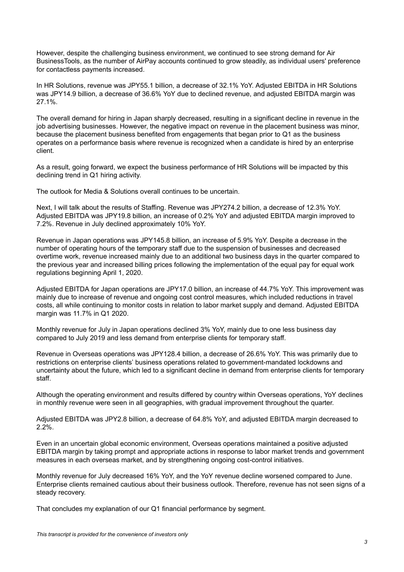However, despite the challenging business environment, we continued to see strong demand for Air BusinessTools, as the number of AirPay accounts continued to grow steadily, as individual users' preference for contactless payments increased.

In HR Solutions, revenue was JPY55.1 billion, a decrease of 32.1% YoY. Adjusted EBITDA in HR Solutions was JPY14.9 billion, a decrease of 36.6% YoY due to declined revenue, and adjusted EBITDA margin was 27.1%.

The overall demand for hiring in Japan sharply decreased, resulting in a significant decline in revenue in the job advertising businesses. However, the negative impact on revenue in the placement business was minor, because the placement business benefited from engagements that began prior to Q1 as the business operates on a performance basis where revenue is recognized when a candidate is hired by an enterprise client.

As a result, going forward, we expect the business performance of HR Solutions will be impacted by this declining trend in Q1 hiring activity.

The outlook for Media & Solutions overall continues to be uncertain.

Next, I will talk about the results of Staffing. Revenue was JPY274.2 billion, a decrease of 12.3% YoY. Adjusted EBITDA was JPY19.8 billion, an increase of 0.2% YoY and adjusted EBITDA margin improved to 7.2%. Revenue in July declined approximately 10% YoY.

Revenue in Japan operations was JPY145.8 billion, an increase of 5.9% YoY. Despite a decrease in the number of operating hours of the temporary staff due to the suspension of businesses and decreased overtime work, revenue increased mainly due to an additional two business days in the quarter compared to the previous year and increased billing prices following the implementation of the equal pay for equal work regulations beginning April 1, 2020.

Adjusted EBITDA for Japan operations are JPY17.0 billion, an increase of 44.7% YoY. This improvement was mainly due to increase of revenue and ongoing cost control measures, which included reductions in travel costs, all while continuing to monitor costs in relation to labor market supply and demand. Adjusted EBITDA margin was 11.7% in Q1 2020.

Monthly revenue for July in Japan operations declined 3% YoY, mainly due to one less business day compared to July 2019 and less demand from enterprise clients for temporary staff.

Revenue in Overseas operations was JPY128.4 billion, a decrease of 26.6% YoY. This was primarily due to restrictions on enterprise clients' business operations related to government-mandated lockdowns and uncertainty about the future, which led to a significant decline in demand from enterprise clients for temporary staff.

Although the operating environment and results differed by country within Overseas operations, YoY declines in monthly revenue were seen in all geographies, with gradual improvement throughout the quarter.

Adjusted EBITDA was JPY2.8 billion, a decrease of 64.8% YoY, and adjusted EBITDA margin decreased to 2.2%.

Even in an uncertain global economic environment, Overseas operations maintained a positive adjusted EBITDA margin by taking prompt and appropriate actions in response to labor market trends and government measures in each overseas market, and by strengthening ongoing cost-control initiatives.

Monthly revenue for July decreased 16% YoY, and the YoY revenue decline worsened compared to June. Enterprise clients remained cautious about their business outlook. Therefore, revenue has not seen signs of a steady recovery.

That concludes my explanation of our Q1 financial performance by segment.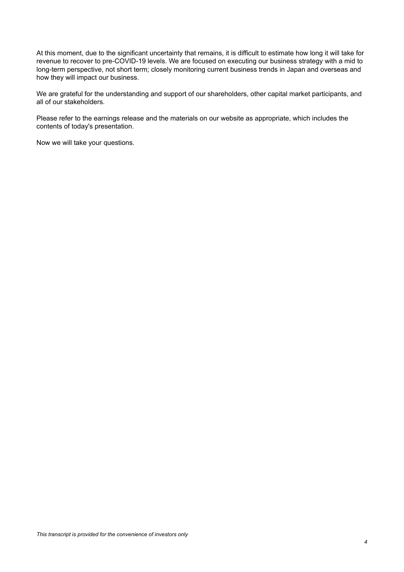At this moment, due to the significant uncertainty that remains, it is difficult to estimate how long it will take for revenue to recover to pre-COVID-19 levels. We are focused on executing our business strategy with a mid to long-term perspective, not short term; closely monitoring current business trends in Japan and overseas and how they will impact our business.

We are grateful for the understanding and support of our shareholders, other capital market participants, and all of our stakeholders.

Please refer to the earnings release and the materials on our website as appropriate, which includes the contents of today's presentation.

Now we will take your questions.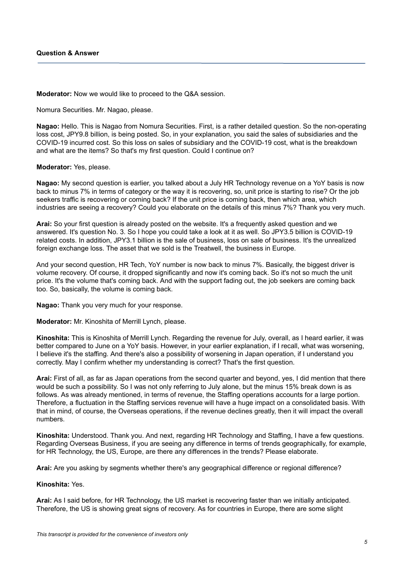**Moderator:** Now we would like to proceed to the Q&A session.

Nomura Securities. Mr. Nagao, please.

**Nagao:** Hello. This is Nagao from Nomura Securities. First, is a rather detailed question. So the non-operating loss cost, JPY9.8 billion, is being posted. So, in your explanation, you said the sales of subsidiaries and the COVID-19 incurred cost. So this loss on sales of subsidiary and the COVID-19 cost, what is the breakdown and what are the items? So that's my first question. Could I continue on?

## **Moderator:** Yes, please.

**Nagao:** My second question is earlier, you talked about a July HR Technology revenue on a YoY basis is now back to minus 7% in terms of category or the way it is recovering, so, unit price is starting to rise? Or the job seekers traffic is recovering or coming back? If the unit price is coming back, then which area, which industries are seeing a recovery? Could you elaborate on the details of this minus 7%? Thank you very much.

**Arai:** So your first question is already posted on the website. It's a frequently asked question and we answered. It's question No. 3. So I hope you could take a look at it as well. So JPY3.5 billion is COVID-19 related costs. In addition, JPY3.1 billion is the sale of business, loss on sale of business. It's the unrealized foreign exchange loss. The asset that we sold is the Treatwell, the business in Europe.

And your second question, HR Tech, YoY number is now back to minus 7%. Basically, the biggest driver is volume recovery. Of course, it dropped significantly and now it's coming back. So it's not so much the unit price. It's the volume that's coming back. And with the support fading out, the job seekers are coming back too. So, basically, the volume is coming back.

**Nagao:** Thank you very much for your response.

**Moderator:** Mr. Kinoshita of Merrill Lynch, please.

**Kinoshita:** This is Kinoshita of Merrill Lynch. Regarding the revenue for July, overall, as I heard earlier, it was better compared to June on a YoY basis. However, in your earlier explanation, if I recall, what was worsening, I believe it's the staffing. And there's also a possibility of worsening in Japan operation, if I understand you correctly. May I confirm whether my understanding is correct? That's the first question.

**Arai:** First of all, as far as Japan operations from the second quarter and beyond, yes, I did mention that there would be such a possibility. So I was not only referring to July alone, but the minus 15% break down is as follows. As was already mentioned, in terms of revenue, the Staffing operations accounts for a large portion. Therefore, a fluctuation in the Staffing services revenue will have a huge impact on a consolidated basis. With that in mind, of course, the Overseas operations, if the revenue declines greatly, then it will impact the overall numbers.

**Kinoshita:** Understood. Thank you. And next, regarding HR Technology and Staffing, I have a few questions. Regarding Overseas Business, if you are seeing any difference in terms of trends geographically, for example, for HR Technology, the US, Europe, are there any differences in the trends? Please elaborate.

Arai: Are you asking by segments whether there's any geographical difference or regional difference?

## **Kinoshita:** Yes.

**Arai:** As I said before, for HR Technology, the US market is recovering faster than we initially anticipated. Therefore, the US is showing great signs of recovery. As for countries in Europe, there are some slight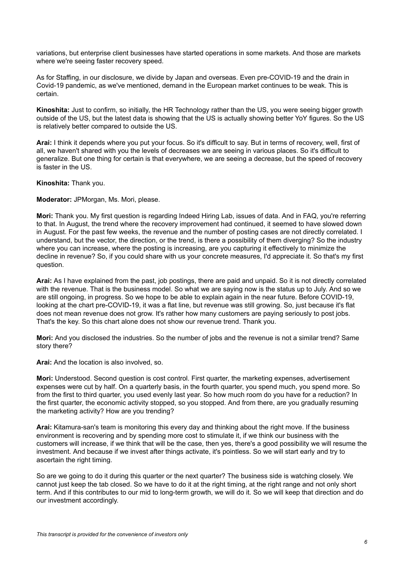variations, but enterprise client businesses have started operations in some markets. And those are markets where we're seeing faster recovery speed.

As for Staffing, in our disclosure, we divide by Japan and overseas. Even pre-COVID-19 and the drain in Covid-19 pandemic, as we've mentioned, demand in the European market continues to be weak. This is certain.

**Kinoshita:** Just to confirm, so initially, the HR Technology rather than the US, you were seeing bigger growth outside of the US, but the latest data is showing that the US is actually showing better YoY figures. So the US is relatively better compared to outside the US.

**Arai:** I think it depends where you put your focus. So it's difficult to say. But in terms of recovery, well, first of all, we haven't shared with you the levels of decreases we are seeing in various places. So it's difficult to generalize. But one thing for certain is that everywhere, we are seeing a decrease, but the speed of recovery is faster in the US.

**Kinoshita:** Thank you.

**Moderator:** JPMorgan, Ms. Mori, please.

**Mori:** Thank you. My first question is regarding Indeed Hiring Lab, issues of data. And in FAQ, you're referring to that. In August, the trend where the recovery improvement had continued, it seemed to have slowed down in August. For the past few weeks, the revenue and the number of posting cases are not directly correlated. I understand, but the vector, the direction, or the trend, is there a possibility of them diverging? So the industry where you can increase, where the posting is increasing, are you capturing it effectively to minimize the decline in revenue? So, if you could share with us your concrete measures, I'd appreciate it. So that's my first question.

**Arai:** As I have explained from the past, job postings, there are paid and unpaid. So it is not directly correlated with the revenue. That is the business model. So what we are saying now is the status up to July. And so we are still ongoing, in progress. So we hope to be able to explain again in the near future. Before COVID-19, looking at the chart pre-COVID-19, it was a flat line, but revenue was still growing. So, just because it's flat does not mean revenue does not grow. It's rather how many customers are paying seriously to post jobs. That's the key. So this chart alone does not show our revenue trend. Thank you.

**Mori:** And you disclosed the industries. So the number of jobs and the revenue is not a similar trend? Same story there?

**Arai:** And the location is also involved, so.

**Mori:** Understood. Second question is cost control. First quarter, the marketing expenses, advertisement expenses were cut by half. On a quarterly basis, in the fourth quarter, you spend much, you spend more. So from the first to third quarter, you used evenly last year. So how much room do you have for a reduction? In the first quarter, the economic activity stopped, so you stopped. And from there, are you gradually resuming the marketing activity? How are you trending?

**Arai:** Kitamura-san's team is monitoring this every day and thinking about the right move. If the business environment is recovering and by spending more cost to stimulate it, if we think our business with the customers will increase, if we think that will be the case, then yes, there's a good possibility we will resume the investment. And because if we invest after things activate, it's pointless. So we will start early and try to ascertain the right timing.

So are we going to do it during this quarter or the next quarter? The business side is watching closely. We cannot just keep the tab closed. So we have to do it at the right timing, at the right range and not only short term. And if this contributes to our mid to long-term growth, we will do it. So we will keep that direction and do our investment accordingly.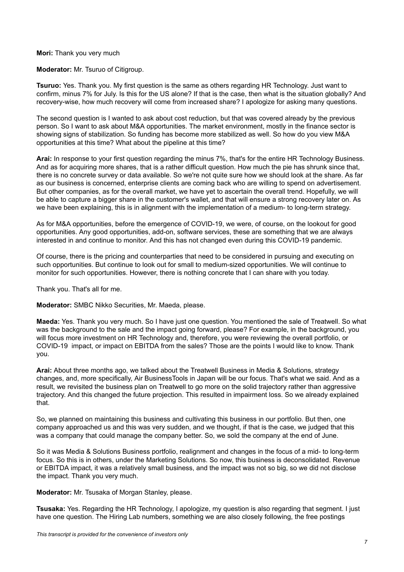**Mori:** Thank you very much

**Moderator:** Mr. Tsuruo of Citigroup.

**Tsuruo:** Yes. Thank you. My first question is the same as others regarding HR Technology. Just want to confirm, minus 7% for July. Is this for the US alone? If that is the case, then what is the situation globally? And recovery-wise, how much recovery will come from increased share? I apologize for asking many questions.

The second question is I wanted to ask about cost reduction, but that was covered already by the previous person. So I want to ask about M&A opportunities. The market environment, mostly in the finance sector is showing signs of stabilization. So funding has become more stabilized as well. So how do you view M&A opportunities at this time? What about the pipeline at this time?

**Arai:** In response to your first question regarding the minus 7%, that's for the entire HR Technology Business. And as for acquiring more shares, that is a rather difficult question. How much the pie has shrunk since that, there is no concrete survey or data available. So we're not quite sure how we should look at the share. As far as our business is concerned, enterprise clients are coming back who are willing to spend on advertisement. But other companies, as for the overall market, we have yet to ascertain the overall trend. Hopefully, we will be able to capture a bigger share in the customer's wallet, and that will ensure a strong recovery later on. As we have been explaining, this is in alignment with the implementation of a medium- to long-term strategy.

As for M&A opportunities, before the emergence of COVID-19, we were, of course, on the lookout for good opportunities. Any good opportunities, add-on, software services, these are something that we are always interested in and continue to monitor. And this has not changed even during this COVID-19 pandemic.

Of course, there is the pricing and counterparties that need to be considered in pursuing and executing on such opportunities. But continue to look out for small to medium-sized opportunities. We will continue to monitor for such opportunities. However, there is nothing concrete that I can share with you today.

Thank you. That's all for me.

**Moderator:** SMBC Nikko Securities, Mr. Maeda, please.

**Maeda:** Yes. Thank you very much. So I have just one question. You mentioned the sale of Treatwell. So what was the background to the sale and the impact going forward, please? For example, in the background, you will focus more investment on HR Technology and, therefore, you were reviewing the overall portfolio, or COVID-19 impact, or impact on EBITDA from the sales? Those are the points I would like to know. Thank you.

**Arai:** About three months ago, we talked about the Treatwell Business in Media & Solutions, strategy changes, and, more specifically, Air BusinessTools in Japan will be our focus. That's what we said. And as a result, we revisited the business plan on Treatwell to go more on the solid trajectory rather than aggressive trajectory. And this changed the future projection. This resulted in impairment loss. So we already explained that.

So, we planned on maintaining this business and cultivating this business in our portfolio. But then, one company approached us and this was very sudden, and we thought, if that is the case, we judged that this was a company that could manage the company better. So, we sold the company at the end of June.

So it was Media & Solutions Business portfolio, realignment and changes in the focus of a mid- to long-term focus. So this is in others, under the Marketing Solutions. So now, this business is deconsolidated. Revenue or EBITDA impact, it was a relatively small business, and the impact was not so big, so we did not disclose the impact. Thank you very much.

**Moderator:** Mr. Tsusaka of Morgan Stanley, please.

**Tsusaka:** Yes. Regarding the HR Technology, I apologize, my question is also regarding that segment. I just have one question. The Hiring Lab numbers, something we are also closely following, the free postings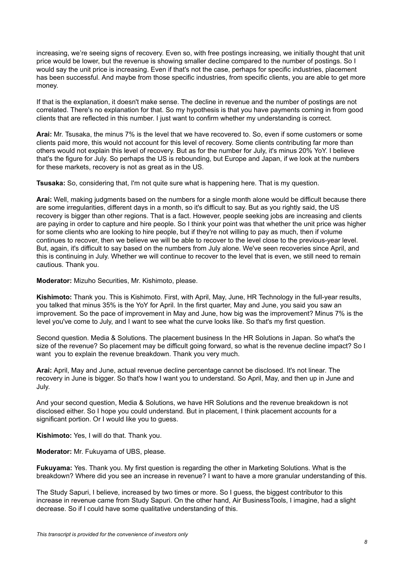increasing, we're seeing signs of recovery. Even so, with free postings increasing, we initially thought that unit price would be lower, but the revenue is showing smaller decline compared to the number of postings. So I would say the unit price is increasing. Even if that's not the case, perhaps for specific industries, placement has been successful. And maybe from those specific industries, from specific clients, you are able to get more money.

If that is the explanation, it doesn't make sense. The decline in revenue and the number of postings are not correlated. There's no explanation for that. So my hypothesis is that you have payments coming in from good clients that are reflected in this number. I just want to confirm whether my understanding is correct.

**Arai:** Mr. Tsusaka, the minus 7% is the level that we have recovered to. So, even if some customers or some clients paid more, this would not account for this level of recovery. Some clients contributing far more than others would not explain this level of recovery. But as for the number for July, it's minus 20% YoY. I believe that's the figure for July. So perhaps the US is rebounding, but Europe and Japan, if we look at the numbers for these markets, recovery is not as great as in the US.

**Tsusaka:** So, considering that, I'm not quite sure what is happening here. That is my question.

**Arai:** Well, making judgments based on the numbers for a single month alone would be difficult because there are some irregularities, different days in a month, so it's difficult to say. But as you rightly said, the US recovery is bigger than other regions. That is a fact. However, people seeking jobs are increasing and clients are paying in order to capture and hire people. So I think your point was that whether the unit price was higher for some clients who are looking to hire people, but if they're not willing to pay as much, then if volume continues to recover, then we believe we will be able to recover to the level close to the previous-year level. But, again, it's difficult to say based on the numbers from July alone. We've seen recoveries since April, and this is continuing in July. Whether we will continue to recover to the level that is even, we still need to remain cautious. Thank you.

**Moderator:** Mizuho Securities, Mr. Kishimoto, please.

**Kishimoto:** Thank you. This is Kishimoto. First, with April, May, June, HR Technology in the full-year results, you talked that minus 35% is the YoY for April. In the first quarter, May and June, you said you saw an improvement. So the pace of improvement in May and June, how big was the improvement? Minus 7% is the level you've come to July, and I want to see what the curve looks like. So that's my first question.

Second question. Media & Solutions. The placement business In the HR Solutions in Japan. So what's the size of the revenue? So placement may be difficult going forward, so what is the revenue decline impact? So I want you to explain the revenue breakdown. Thank you very much.

**Arai:** April, May and June, actual revenue decline percentage cannot be disclosed. It's not linear. The recovery in June is bigger. So that's how I want you to understand. So April, May, and then up in June and July.

And your second question, Media & Solutions, we have HR Solutions and the revenue breakdown is not disclosed either. So I hope you could understand. But in placement, I think placement accounts for a significant portion. Or I would like you to guess.

**Kishimoto:** Yes, I will do that. Thank you.

**Moderator:** Mr. Fukuyama of UBS, please.

**Fukuyama:** Yes. Thank you. My first question is regarding the other in Marketing Solutions. What is the breakdown? Where did you see an increase in revenue? I want to have a more granular understanding of this.

The Study Sapuri, I believe, increased by two times or more. So I guess, the biggest contributor to this increase in revenue came from Study Sapuri. On the other hand, Air BusinessTools, I imagine, had a slight decrease. So if I could have some qualitative understanding of this.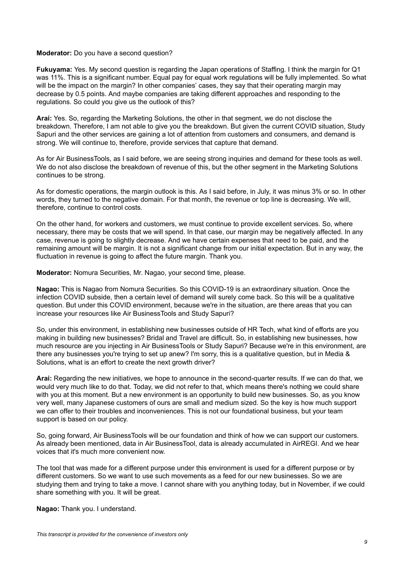## **Moderator:** Do you have a second question?

**Fukuyama:** Yes. My second question is regarding the Japan operations of Staffing. I think the margin for Q1 was 11%. This is a significant number. Equal pay for equal work regulations will be fully implemented. So what will be the impact on the margin? In other companies' cases, they say that their operating margin may decrease by 0.5 points. And maybe companies are taking different approaches and responding to the regulations. So could you give us the outlook of this?

**Arai:** Yes. So, regarding the Marketing Solutions, the other in that segment, we do not disclose the breakdown. Therefore, I am not able to give you the breakdown. But given the current COVID situation, Study Sapuri and the other services are gaining a lot of attention from customers and consumers, and demand is strong. We will continue to, therefore, provide services that capture that demand.

As for Air BusinessTools, as I said before, we are seeing strong inquiries and demand for these tools as well. We do not also disclose the breakdown of revenue of this, but the other segment in the Marketing Solutions continues to be strong.

As for domestic operations, the margin outlook is this. As I said before, in July, it was minus 3% or so. In other words, they turned to the negative domain. For that month, the revenue or top line is decreasing. We will, therefore, continue to control costs.

On the other hand, for workers and customers, we must continue to provide excellent services. So, where necessary, there may be costs that we will spend. In that case, our margin may be negatively affected. In any case, revenue is going to slightly decrease. And we have certain expenses that need to be paid, and the remaining amount will be margin. It is not a significant change from our initial expectation. But in any way, the fluctuation in revenue is going to affect the future margin. Thank you.

**Moderator:** Nomura Securities, Mr. Nagao, your second time, please.

**Nagao:** This is Nagao from Nomura Securities. So this COVID-19 is an extraordinary situation. Once the infection COVID subside, then a certain level of demand will surely come back. So this will be a qualitative question. But under this COVID environment, because we're in the situation, are there areas that you can increase your resources like Air BusinessTools and Study Sapuri?

So, under this environment, in establishing new businesses outside of HR Tech, what kind of efforts are you making in building new businesses? Bridal and Travel are difficult. So, in establishing new businesses, how much resource are you injecting in Air BusinessTools or Study Sapuri? Because we're in this environment, are there any businesses you're trying to set up anew? I'm sorry, this is a qualitative question, but in Media & Solutions, what is an effort to create the next growth driver?

**Arai:** Regarding the new initiatives, we hope to announce in the second-quarter results. If we can do that, we would very much like to do that. Today, we did not refer to that, which means there's nothing we could share with you at this moment. But a new environment is an opportunity to build new businesses. So, as you know very well, many Japanese customers of ours are small and medium sized. So the key is how much support we can offer to their troubles and inconveniences. This is not our foundational business, but your team support is based on our policy.

So, going forward, Air BusinessTools will be our foundation and think of how we can support our customers. As already been mentioned, data in Air BusinessTool, data is already accumulated in AirREGI. And we hear voices that it's much more convenient now.

The tool that was made for a different purpose under this environment is used for a different purpose or by different customers. So we want to use such movements as a feed for our new businesses. So we are studying them and trying to take a move. I cannot share with you anything today, but in November, if we could share something with you. It will be great.

**Nagao:** Thank you. I understand.